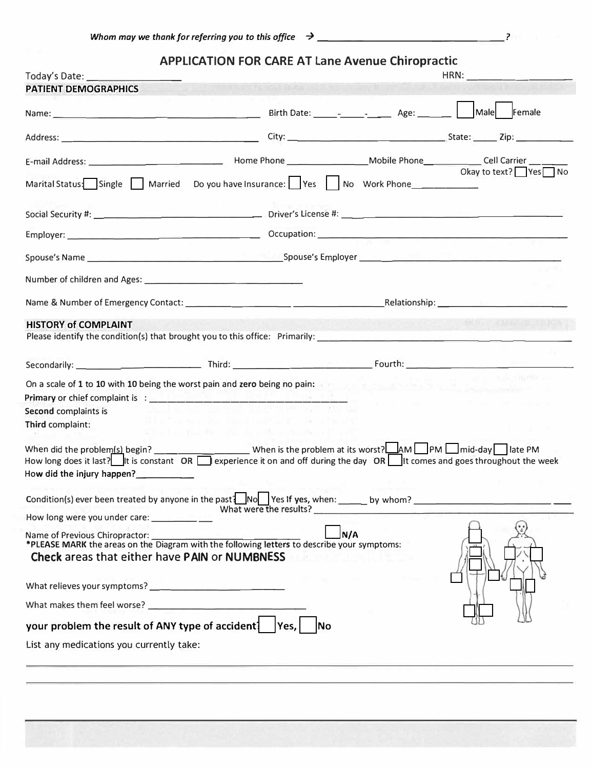|                                                                                                                                                                                                                                                                              | <b>APPLICATION FOR CARE AT Lane Avenue Chiropractic</b> |                                |                      |
|------------------------------------------------------------------------------------------------------------------------------------------------------------------------------------------------------------------------------------------------------------------------------|---------------------------------------------------------|--------------------------------|----------------------|
| Today's Date:                                                                                                                                                                                                                                                                |                                                         |                                | HRN:                 |
| <b>PATIENT DEMOGRAPHICS</b>                                                                                                                                                                                                                                                  | the part in the first the country of                    |                                |                      |
|                                                                                                                                                                                                                                                                              |                                                         |                                | Male Female          |
|                                                                                                                                                                                                                                                                              |                                                         |                                |                      |
|                                                                                                                                                                                                                                                                              |                                                         |                                |                      |
| Marital Status: Single Married Do you have Insurance: Yes No Work Phone                                                                                                                                                                                                      |                                                         |                                | Okay to text? Yes No |
|                                                                                                                                                                                                                                                                              |                                                         |                                |                      |
|                                                                                                                                                                                                                                                                              |                                                         |                                |                      |
|                                                                                                                                                                                                                                                                              |                                                         |                                |                      |
|                                                                                                                                                                                                                                                                              |                                                         |                                |                      |
|                                                                                                                                                                                                                                                                              |                                                         |                                |                      |
| <b>HISTORY of COMPLAINT</b>                                                                                                                                                                                                                                                  |                                                         |                                |                      |
|                                                                                                                                                                                                                                                                              |                                                         |                                |                      |
|                                                                                                                                                                                                                                                                              |                                                         |                                |                      |
| On a scale of 1 to 10 with 10 being the worst pain and zero being no pain:                                                                                                                                                                                                   |                                                         |                                |                      |
|                                                                                                                                                                                                                                                                              |                                                         |                                |                      |
| Second complaints is                                                                                                                                                                                                                                                         |                                                         | and the company of the company |                      |
| Third complaint:                                                                                                                                                                                                                                                             | and the control of the state                            |                                |                      |
| When did the problem (s) begin? __________________________When is the problem at its worst? $\Box$ AM $\Box$ PM $\Box$ mid-day $\Box$ late PM<br>How long does it last? It is constant OR server leave it on and off during the day OR It comes and goes throughout the week |                                                         |                                |                      |
| How did the injury happen?                                                                                                                                                                                                                                                   |                                                         |                                |                      |
| Condition(s) ever been treated by anyone in the past $\frac{1}{2}$ No Yes If yes, when:                                                                                                                                                                                      |                                                         | by whom?                       |                      |

| What were the results?                                                                        |  |
|-----------------------------------------------------------------------------------------------|--|
| How long were you under care:                                                                 |  |
| N/A<br>Name of Previous Chiropractor:<br><b>Check areas that either have PAIN or NUMBNESS</b> |  |
| What relieves your symptoms?                                                                  |  |
| What makes them feel worse?                                                                   |  |
| your problem the result of ANY type of accident<br>Yes.                                       |  |
| List any medications you currently take:                                                      |  |
|                                                                                               |  |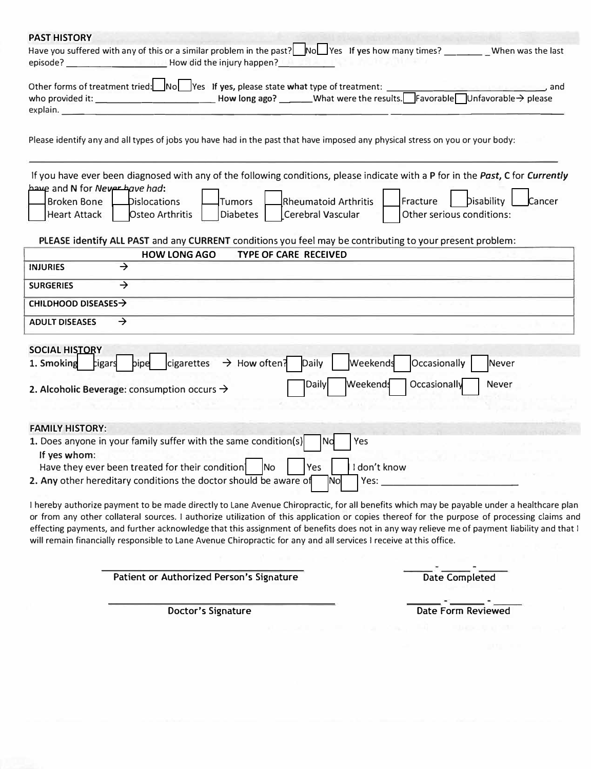| <b>PAST HISTORY</b>                                                                                                                                                                                                                                                                                                                                                                                                                                                                                                                                              |
|------------------------------------------------------------------------------------------------------------------------------------------------------------------------------------------------------------------------------------------------------------------------------------------------------------------------------------------------------------------------------------------------------------------------------------------------------------------------------------------------------------------------------------------------------------------|
| Have you suffered with any of this or a similar problem in the past? No Yes 1f yes how many times? When was the last                                                                                                                                                                                                                                                                                                                                                                                                                                             |
| Other forms of treatment tried: No Yes If yes, please state what type of treatment:                                                                                                                                                                                                                                                                                                                                                                                                                                                                              |
| Please identify any and all types of jobs you have had in the past that have imposed any physical stress on you or your body:                                                                                                                                                                                                                                                                                                                                                                                                                                    |
| If you have ever been diagnosed with any of the following conditions, please indicate with a P for in the Past, C for Currently<br>have and N for Never have had:<br><b>Rheumatoid Arthritis</b><br>Fracture<br>Disability<br>Cancer<br><b>Broken Bone</b><br>Dislocations<br><b>Tumors</b><br>Osteo Arthritis<br>Diabetes<br>Cerebral Vascular<br>Other serious conditions:<br><b>Heart Attack</b><br>PLEASE identify ALL PAST and any CURRENT conditions you feel may be contributing to your present problem:<br><b>HOW LONG AGO</b><br>TYPE OF CARE RECEIVED |
| $\rightarrow$<br><b>INJURIES</b>                                                                                                                                                                                                                                                                                                                                                                                                                                                                                                                                 |
|                                                                                                                                                                                                                                                                                                                                                                                                                                                                                                                                                                  |
| $\rightarrow$<br><b>SURGERIES</b>                                                                                                                                                                                                                                                                                                                                                                                                                                                                                                                                |
| CHILDHOOD DISEASES $\rightarrow$                                                                                                                                                                                                                                                                                                                                                                                                                                                                                                                                 |
| $\rightarrow$<br><b>ADULT DISEASES</b>                                                                                                                                                                                                                                                                                                                                                                                                                                                                                                                           |
| <b>SOCIAL HISTORY</b><br>cigarettes $\rightarrow$ How often? Daily<br>Occasionally<br><b>Weekends</b><br>pipe<br><b>Never</b><br>1. Smoking<br>cigars<br>Occasionally<br><b>Weekends</b><br><b>Daily</b><br>Never<br>2. Alcoholic Beverage: consumption occurs $\rightarrow$                                                                                                                                                                                                                                                                                     |
| <b>FAMILY HISTORY:</b>                                                                                                                                                                                                                                                                                                                                                                                                                                                                                                                                           |
| 1. Does anyone in your family suffer with the same condition(s)<br>Yes<br>No<br>If yes whom:<br>Have they ever been treated for their condition No PYes 1 I don't know                                                                                                                                                                                                                                                                                                                                                                                           |
| 2. Any other hereditary conditions the doctor should be aware of<br>Yes:<br> Nol                                                                                                                                                                                                                                                                                                                                                                                                                                                                                 |
| I hereby authorize payment to be made directly to Lane Avenue Chiropractic, for all benefits which may be payable under a healthcare plan<br>or from any other collateral sources. I authorize utilization of this application or copies thereof for the purpose of processing claims and<br>effecting payments, and further acknowledge that this assignment of benefits does not in any way relieve me of payment liability and that I<br>will remain financially responsible to Lane Avenue Chiropractic for any and all services I receive at this office.   |

Patient or Authorized Person's Signature Date Completed

Doctor's Signature Date Form Reviewed